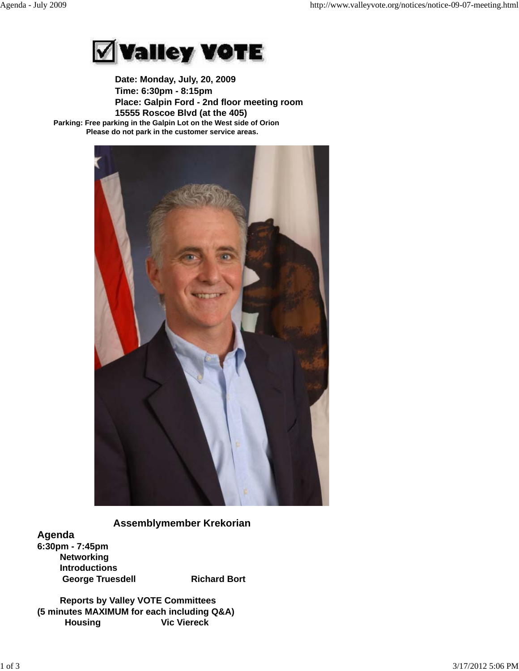

 **Date: Monday, July, 20, 2009 Time: 6:30pm - 8:15pm Place: Galpin Ford - 2nd floor meeting room 15555 Roscoe Blvd (at the 405) Parking: Free parking in the Galpin Lot on the West side of Orion Please do not park in the customer service areas.**



# **Assemblymember Krekorian**

**Agenda 6:30pm - 7:45pm Networking Introductions** George Truesdell **Richard Bort** 

 **Reports by Valley VOTE Committees (5 minutes MAXIMUM for each including Q&A) Housing Vic Viereck**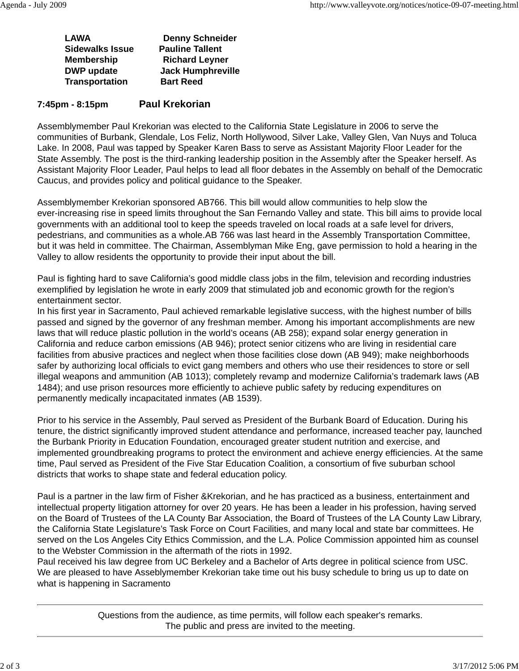| LAWA |                        | <b>Denny Schneider</b>   |
|------|------------------------|--------------------------|
|      | <b>Sidewalks Issue</b> | <b>Pauline Tallent</b>   |
|      | <b>Membership</b>      | <b>Richard Leyner</b>    |
|      | <b>DWP</b> update      | <b>Jack Humphreville</b> |
|      | <b>Transportation</b>  | <b>Bart Reed</b>         |
|      |                        |                          |

## **7:45pm - 8:15pm Paul Krekorian**

Assemblymember Paul Krekorian was elected to the California State Legislature in 2006 to serve the communities of Burbank, Glendale, Los Feliz, North Hollywood, Silver Lake, Valley Glen, Van Nuys and Toluca Lake. In 2008, Paul was tapped by Speaker Karen Bass to serve as Assistant Majority Floor Leader for the State Assembly. The post is the third-ranking leadership position in the Assembly after the Speaker herself. As Assistant Majority Floor Leader, Paul helps to lead all floor debates in the Assembly on behalf of the Democratic Caucus, and provides policy and political guidance to the Speaker.

Assemblymember Krekorian sponsored AB766. This bill would allow communities to help slow the ever-increasing rise in speed limits throughout the San Fernando Valley and state. This bill aims to provide local governments with an additional tool to keep the speeds traveled on local roads at a safe level for drivers, pedestrians, and communities as a whole.AB 766 was last heard in the Assembly Transportation Committee, but it was held in committee. The Chairman, Assemblyman Mike Eng, gave permission to hold a hearing in the Valley to allow residents the opportunity to provide their input about the bill.

Paul is fighting hard to save California's good middle class jobs in the film, television and recording industries exemplified by legislation he wrote in early 2009 that stimulated job and economic growth for the region's entertainment sector.

In his first year in Sacramento, Paul achieved remarkable legislative success, with the highest number of bills passed and signed by the governor of any freshman member. Among his important accomplishments are new laws that will reduce plastic pollution in the world's oceans (AB 258); expand solar energy generation in California and reduce carbon emissions (AB 946); protect senior citizens who are living in residential care facilities from abusive practices and neglect when those facilities close down (AB 949); make neighborhoods safer by authorizing local officials to evict gang members and others who use their residences to store or sell illegal weapons and ammunition (AB 1013); completely revamp and modernize California's trademark laws (AB 1484); and use prison resources more efficiently to achieve public safety by reducing expenditures on permanently medically incapacitated inmates (AB 1539).

Prior to his service in the Assembly, Paul served as President of the Burbank Board of Education. During his tenure, the district significantly improved student attendance and performance, increased teacher pay, launched the Burbank Priority in Education Foundation, encouraged greater student nutrition and exercise, and implemented groundbreaking programs to protect the environment and achieve energy efficiencies. At the same time, Paul served as President of the Five Star Education Coalition, a consortium of five suburban school districts that works to shape state and federal education policy.

Paul is a partner in the law firm of Fisher &Krekorian, and he has practiced as a business, entertainment and intellectual property litigation attorney for over 20 years. He has been a leader in his profession, having served on the Board of Trustees of the LA County Bar Association, the Board of Trustees of the LA County Law Library, the California State Legislature's Task Force on Court Facilities, and many local and state bar committees. He served on the Los Angeles City Ethics Commission, and the L.A. Police Commission appointed him as counsel to the Webster Commission in the aftermath of the riots in 1992.

Paul received his law degree from UC Berkeley and a Bachelor of Arts degree in political science from USC. We are pleased to have Asseblymember Krekorian take time out his busy schedule to bring us up to date on what is happening in Sacramento

> Questions from the audience, as time permits, will follow each speaker's remarks. The public and press are invited to the meeting.